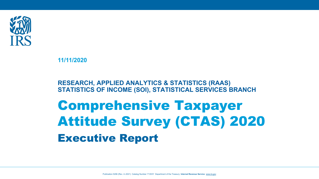

**11/11/2020**

**RESEARCH, APPLIED ANALYTICS & STATISTICS (RAAS) STATISTICS OF INCOME (SOI), STATISTICAL SERVICES BRANCH**

# Comprehensive Taxpayer Attitude Survey (CTAS) 2020 Executive Report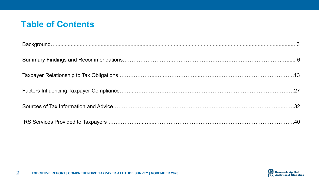## **Table of Contents**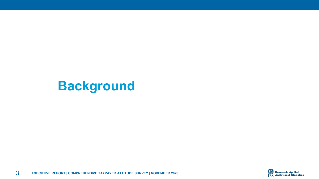## <span id="page-2-0"></span>**Background**

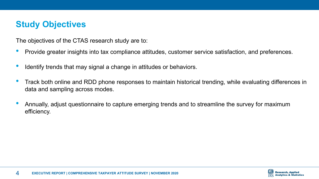## **Study Objectives**

The objectives of the CTAS research study are to:

- Provide greater insights into tax compliance attitudes, customer service satisfaction, and preferences.
- Identify trends that may signal a change in attitudes or behaviors.
- Track both online and RDD phone responses to maintain historical trending, while evaluating differences in data and sampling across modes.
- Annually, adjust questionnaire to capture emerging trends and to streamline the survey for maximum efficiency.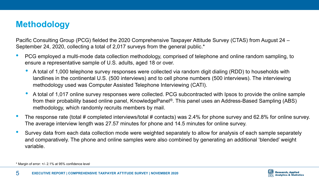## **Methodology**

Pacific Consulting Group (PCG) fielded the 2020 Comprehensive Taxpayer Attitude Survey (CTAS) from August 24 – September 24, 2020, collecting a total of 2,017 surveys from the general public.\*

- PCG employed a multi-mode data collection methodology, comprised of telephone and online random sampling, to ensure a representative sample of U.S. adults, aged 18 or over.
	- A total of 1,000 telephone survey responses were collected via random digit dialing (RDD) to households with landlines in the continental U.S. (500 interviews) and to cell phone numbers (500 interviews). The interviewing methodology used was Computer Assisted Telephone Interviewing (CATI).
	- A total of 1,017 online survey responses were collected. PCG subcontracted with Ipsos to provide the online sample from their probability based online panel, KnowledgePanel®. This panel uses an Address-Based Sampling (ABS) methodology, which randomly recruits members by mail.
- The response rate (total # completed interviews/total # contacts) was 2.4% for phone survey and 62.8% for online survey. The average interview length was 27.57 minutes for phone and 14.5 minutes for online survey.
- Survey data from each data collection mode were weighted separately to allow for analysis of each sample separately and comparatively. The phone and online samples were also combined by generating an additional 'blended' weight variable.



<sup>\*</sup> Margin of error: +/- 2.1% at 95% confidence level.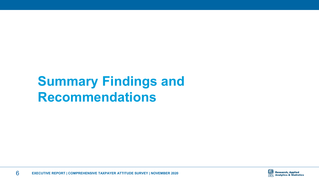## <span id="page-5-0"></span>**Summary Findings and Recommendations**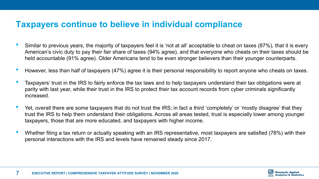### **Taxpayers continue to believe in individual compliance**

- Similar to previous years, the majority of taxpayers feel it is 'not at all' acceptable to cheat on taxes (87%), that it is every American's civic duty to pay their fair share of taxes (94% agree), and that everyone who cheats on their taxes should be held accountable (91% agree). Older Americans tend to be even stronger believers than their younger counterparts.
- However, less than half of taxpayers (47%) agree it is their personal responsibility to report anyone who cheats on taxes.
- Taxpayers' trust in the IRS to fairly enforce the tax laws and to help taxpayers understand their tax obligations were at parity with last year, while their trust in the IRS to protect their tax account records from cyber criminals significantly increased.
- Yet, overall there are some taxpayers that do not trust the IRS; in fact a third 'completely' or 'mostly disagree' that they trust the IRS to help them understand their obligations. Across all areas tested, trust is especially lower among younger taxpayers, those that are more educated, and taxpayers with higher income.
- Whether filing a tax return or actually speaking with an IRS representative, most taxpayers are satisfied (78%) with their personal interactions with the IRS and levels have remained steady since 2017.

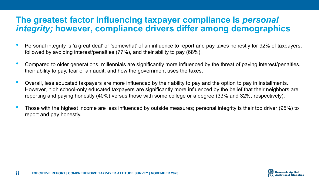### **The greatest factor influencing taxpayer compliance is** *personal integrity;* **however, compliance drivers differ among demographics**

- Personal integrity is 'a great deal' or 'somewhat' of an influence to report and pay taxes honestly for 92% of taxpayers, followed by avoiding interest/penalties (77%), and their ability to pay (68%).
- Compared to older generations, millennials are significantly more influenced by the threat of paying interest/penalties, their ability to pay, fear of an audit, and how the government uses the taxes.
- Overall, less educated taxpayers are more influenced by their ability to pay and the option to pay in installments. However, high school-only educated taxpayers are significantly more influenced by the belief that their neighbors are reporting and paying honestly (40%) versus those with some college or a degree (33% and 32%, respectively).
- Those with the highest income are less influenced by outside measures; personal integrity is their top driver (95%) to report and pay honestly.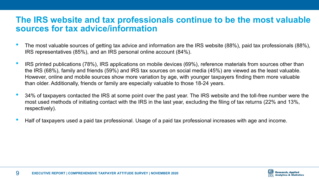### **The IRS website and tax professionals continue to be the most valuable sources for tax advice/information**

- The most valuable sources of getting tax advice and information are the IRS website (88%), paid tax professionals (88%), IRS representatives (85%), and an IRS personal online account (84%).
- IRS printed publications (78%), IRS applications on mobile devices (69%), reference materials from sources other than the IRS (68%), family and friends (59%) and IRS tax sources on social media (45%) are viewed as the least valuable. However, online and mobile sources show more variation by age, with younger taxpayers finding them more valuable than older. Additionally, friends or family are especially valuable to those 18-24 years.
- 34% of taxpayers contacted the IRS at some point over the past year. The IRS website and the toll-free number were the most used methods of initiating contact with the IRS in the last year, excluding the filing of tax returns (22% and 13%, respectively).
- Half of taxpayers used a paid tax professional. Usage of a paid tax professional increases with age and income.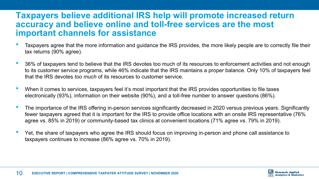### **Taxpayers believe additional IRS help will promote increased return accuracy and believe online and toll-free services are the most important channels for assistance**

- Taxpayers agree that the more information and guidance the IRS provides, the more likely people are to correctly file their tax returns (90% agree).
- 36% of taxpayers tend to believe that the IRS devotes too much of its resources to enforcement activities and not enough to its customer service programs, while 46% indicate that the IRS maintains a proper balance. Only 10% of taxpayers feel that the IRS devotes *too much* of its resources to customer service.
- When it comes to services, taxpayers feel it's most important that the IRS provides opportunities to file taxes electronically (93%), information on their website (90%), and a toll-free number to answer questions (86%).
- The importance of the IRS offering in-person services significantly decreased in 2020 versus previous years. Significantly fewer taxpayers agreed that it is important for the IRS to provide office locations with an onsite IRS representative (76% agree vs. 85% in 2019) or community-based tax clinics at convenient locations (71% agree vs. 79% in 2019).
- Yet, the share of taxpayers who agree the IRS should focus on improving in-person and phone call assistance to taxpayers continues to increase (86% agree vs. 70% in 2019).

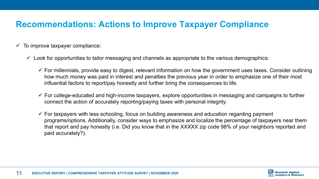## **Recommendations: Actions to Improve Taxpayer Compliance**

- $\checkmark$  To improve taxpayer compliance:
	- $\checkmark$  Look for opportunities to tailor messaging and channels as appropriate to the various demographics:
		- $\checkmark$  For millennials, provide easy to digest, relevant information on how the government uses taxes. Consider outlining how much money was paid in interest and penalties the previous year in order to emphasize one of their most influential factors to report/pay honestly and further bring the consequences to life.
		- $\checkmark$  For college-educated and high-income taxpayers, explore opportunities in messaging and campaigns to further connect the action of accurately reporting/paying taxes with personal integrity.
		- $\checkmark$  For taxpayers with less schooling, focus on building awareness and education regarding payment programs/options. Additionally, consider ways to emphasize and localize the percentage of taxpayers near them that report and pay honestly (i.e. Did you know that in the XXXXX zip code 98% of your neighbors reported and paid accurately?).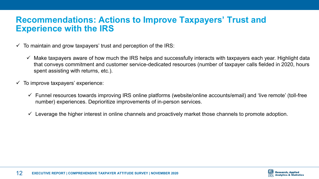### **Recommendations: Actions to Improve Taxpayers' Trust and Experience with the IRS**

- $\checkmark$  To maintain and grow taxpayers' trust and perception of the IRS:
	- $\checkmark$  Make taxpayers aware of how much the IRS helps and successfully interacts with taxpayers each year. Highlight data that conveys commitment and customer service-dedicated resources (number of taxpayer calls fielded in 2020, hours spent assisting with returns, etc.).
- $\checkmark$  To improve taxpayers' experience:
	- $\checkmark$  Funnel resources towards improving IRS online platforms (website/online accounts/email) and 'live remote' (toll-free number) experiences. Deprioritize improvements of in-person services.
	- $\checkmark$  Leverage the higher interest in online channels and proactively market those channels to promote adoption.

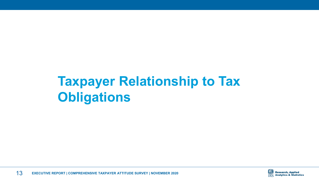# <span id="page-12-0"></span>**Taxpayer Relationship to Tax Obligations**

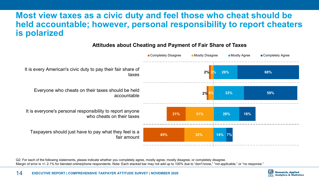### **Most view taxes as a civic duty and feel those who cheat should be held accountable; however, personal responsibility to report cheaters is polarized**



#### **Attitudes about Cheating and Payment of Fair Share of Taxes**

Q2: For each of the following statements, please indicate whether you completely agree, mostly agree, mostly disagree, or completely disagree. Margin of error is +/- 2.1% for blended online/phone respondents. Note: Each stacked bar may not add up to 100% due to "don't know," "not applicable," or "no response."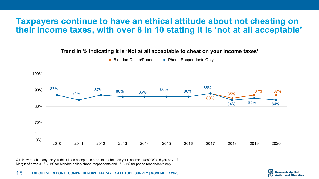### **Taxpayers continue to have an ethical attitude about not cheating on their income taxes, with over 8 in 10 stating it is 'not at all acceptable'**

- Phone Respondents Only --Blended Online/Phone 100% 88% 87% 86%  $90%$ 87% 86% 86% 87% 87% 86% 84% 85% 88% 85% 84% 84%  $80%$ 70%  $\frac{\sqrt{2}}{2}$  $0%$ 2010 2011 2012 2013 2014 2015 2016 2017 2018 2019 2020

**Trend in % Indicating it is 'Not at all acceptable to cheat on your income taxes'**

Q1: How much, if any, do you think is an acceptable amount to cheat on your income taxes? Would you say…? Margin of error is +/- 2.1% for blended online/phone respondents and +/- 3.1% for phone respondents only.

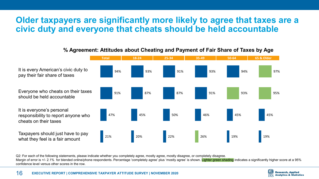### **Older taxpayers are significantly more likely to agree that taxes are a civic duty and everyone that cheats should be held accountable**



#### **% Agreement: Attitudes about Cheating and Payment of Fair Share of Taxes by Age**

Q2: For each of the following statements, please indicate whether you completely agree, mostly agree, mostly disagree, or completely disagree. Margin of error is +/- 2.1% for blended online/phone respondents. Percentage 'completely agree' plus 'mostly agree' is shown. Lighter green shading indicates a significantly higher score at a 95% confidence level versus other scores in the row.

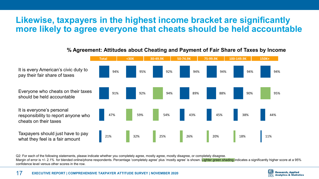### **Likewise, taxpayers in the highest income bracket are significantly more likely to agree everyone that cheats should be held accountable**



#### **% Agreement: Attitudes about Cheating and Payment of Fair Share of Taxes by Income**

Q2: For each of the following statements, please indicate whether you completely agree, mostly agree, mostly disagree, or completely disagree. Margin of error is +/- 2.1% for blended online/phone respondents. Percentage 'completely agree' plus 'mostly agree' is shown. Lighter green shading indicates a significantly higher score at a 95% confidence level versus other scores in the row.

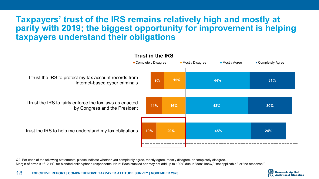### **Taxpayers' trust of the IRS remains relatively high and mostly at parity with 2019; the biggest opportunity for improvement is helping taxpayers understand their obligations**



Q2: For each of the following statements, please indicate whether you completely agree, mostly agree, mostly disagree, or completely disagree. Margin of error is +/- 2.1% for blended online/phone respondents. Note: Each stacked bar may not add up to 100% due to "don't know," "not applicable," or "no response,"

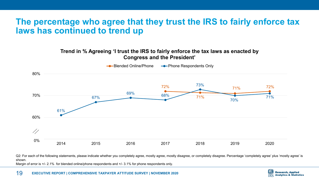### **The percentage who agree that they trust the IRS to fairly enforce tax laws has continued to trend up**

#### **Trend in % Agreeing 'I trust the IRS to fairly enforce the tax laws as enacted by Congress and the President'**



Q2: For each of the following statements, please indicate whether you completely agree, mostly agree, mostly disagree, or completely disagree. Percentage 'completely agree' plus 'mostly agree' is shown. Margin of error is +/- 2.1% for blended online/phone respondents and +/- 3.1% for phone respondents only.

19 **EXECUTIVE REPORT | COMPREHENSIVE TAXPAYER ATTITUDE SURVEY | NOVEMBER 2020**

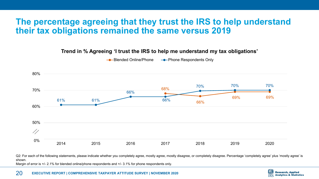### **The percentage agreeing that they trust the IRS to help understand their tax obligations remained the same versus 2019**

#### **Trend in % Agreeing 'I trust the IRS to help me understand my tax obligations'**



**-●**-Blended Online/Phone → Phone Respondents Only

Q2: For each of the following statements, please indicate whether you completely agree, mostly agree, mostly disagree, or completely disagree. Percentage 'completely agree' plus 'mostly agree' is shown. Margin of error is  $+/- 2.1\%$  for blended online/phone respondents and  $+/- 3.1\%$  for phone respondents only.

20 **EXECUTIVE REPORT | COMPREHENSIVE TAXPAYER ATTITUDE SURVEY | NOVEMBER 2020**

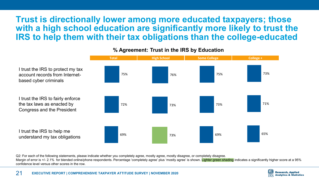### **Trust is directionally lower among more educated taxpayers; those with a high school education are significantly more likely to trust the IRS to help them with their tax obligations than the college-educated**



#### **% Agreement: Trust in the IRS by Education**

Q2: For each of the following statements, please indicate whether you completely agree, mostly agree, mostly disagree, or completely disagree. Margin of error is +/- 2.1% for blended online/phone respondents. Percentage 'completely agree' plus 'mostly agree' is shown. Lighter green shading indicates a significantly higher score at a 95% confidence level versus other scores in the row.

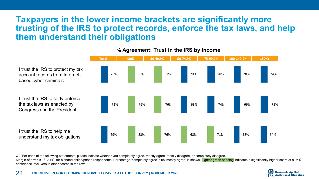### **Taxpayers in the lower income brackets are significantly more trusting of the IRS to protect records, enforce the tax laws, and help them understand their obligations**



#### **% Agreement: Trust in the IRS by Income**

Q2: For each of the following statements, please indicate whether you completely agree, mostly agree, mostly disagree, or completely disagree. Margin of error is +/- 2.1% for blended online/phone respondents. Percentage 'completely agree' plus 'mostly agree' is shown. Lighter green shading indicates a significantly higher score at a 95% confidence level versus other scores in the row.

based cyber criminals

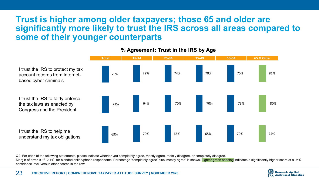### **Trust is higher among older taxpayers; those 65 and older are significantly more likely to trust the IRS across all areas compared to some of their younger counterparts**



#### **% Agreement: Trust in the IRS by Age**

Q2: For each of the following statements, please indicate whether you completely agree, mostly agree, mostly disagree, or completely disagree. Margin of error is +/- 2.1% for blended online/phone respondents. Percentage 'completely agree' plus 'mostly agree' is shown. Lighter green shading indicates a significantly higher score at a 95% confidence level versus other scores in the row.

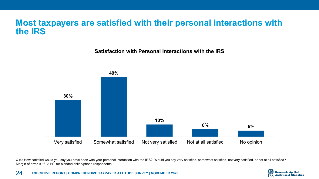### **Most taxpayers are satisfied with their personal interactions with the IRS**

**Satisfaction with Personal Interactions with the IRS**



Q10: How satisfied would you say you have been with your personal interaction with the IRS? Would you say very satisfied, somewhat satisfied, not very satisfied, or not at all satisfied? Margin of error is +/- 2.1% for blended online/phone respondents.

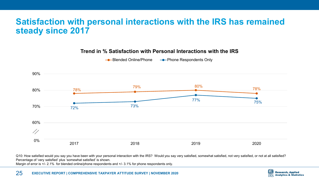### **Satisfaction with personal interactions with the IRS has remained steady since 2017**

90% 78% 79% 80% 78% 80% 77% 75% 70% 72% 73% 60% 17 50% 0%2017 2018 2019 2020

**Trend in % Satisfaction with Personal Interactions with the IRS**

**-●**-Blended Online/Phone → Phone Respondents Only

Q10: How satisfied would you say you have been with your personal interaction with the IRS? Would you say very satisfied, somewhat satisfied, not very satisfied, or not at all satisfied? Percentage of 'very satisfied' plus 'somewhat satisfied' is shown.

Margin of error is +/- 2.1% for blended online/phone respondents and +/- 3.1% for phone respondents only.

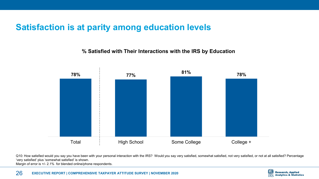### **Satisfaction is at parity among education levels**

**% Satisfied with Their Interactions with the IRS by Education**



Q10: How satisfied would you say you have been with your personal interaction with the IRS? Would you say very satisfied, somewhat satisfied, not very satisfied, or not at all satisfied? Percentage 'very satisfied' plus 'somewhat satisfied' is shown.

Margin of error is +/- 2.1% for blended online/phone respondents.

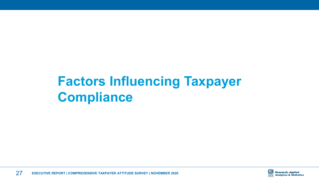# <span id="page-26-0"></span>**Factors Influencing Taxpayer Compliance**



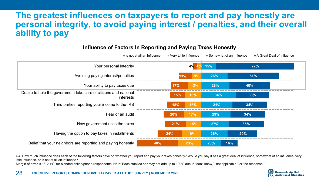### **The greatest influences on taxpayers to report and pay honestly are personal integrity, to avoid paying interest / penalties, and their overall ability to pay**

| Is not at all an Influence                                                    | Very Little Influence |           |     | Somewhat of an Influence<br>A Great Deal of Influence |
|-------------------------------------------------------------------------------|-----------------------|-----------|-----|-------------------------------------------------------|
| Your personal integrity                                                       |                       | 4%        | 15% | 77%                                                   |
| Avoiding paying interest/penalties                                            |                       | 9%<br>13% | 26% | 51%                                                   |
| Your ability to pay taxes due                                                 | 17%                   | 13%       | 28% | 40%                                                   |
| Desire to help the government take care of citizens and national<br>interests | 15%                   | 16%       | 34% | 33%                                                   |
| Third parties reporting your income to the IRS                                | 18%                   | 16%       | 31% | 34%                                                   |
| Fear of an audit                                                              | 20%                   | 17%       | 29% | 34%                                                   |
| How government uses the taxes                                                 | 21%                   | 15%       | 27% | 35%                                                   |
| Having the option to pay taxes in installments                                | 24%                   | 19%       | 26% | 29%                                                   |
| Belief that your neighbors are reporting and paying honestly<br>40%           |                       | 23%       | 20% | 16%                                                   |

#### **Influence of Factors In Reporting and Paying Taxes Honestly**

Q4: How much influence does each of the following factors have on whether you report and pay your taxes honestly? Would you say it has a great deal of influence, somewhat of an influence, very little influence, or is not at all an influence?

Margin of error is +/- 2.1% for blended online/phone respondents. Note: Each stacked bar may not add up to 100% due to "don't know," "not applicable," or "no response."

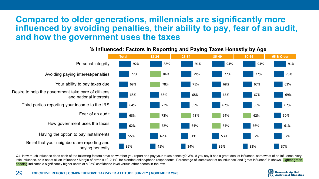### **Compared to older generations, millennials are significantly more influenced by avoiding penalties, their ability to pay, fear of an audit, and how the government uses the taxes**



#### **% Influenced: Factors In Reporting and Paying Taxes Honestly by Age**

Q4: How much influence does each of the following factors have on whether you report and pay your taxes honestly? Would you say it has a great deal of influence, somewhat of an influence, very little influence, or is not at all an influence? Margin of error is +/- 2.1% for blended online/phone respondents. Percentage of 'somewhat of an influence' and 'great influence' is shown. Lighter green shading indicates a significantly higher score at a 95% confidence level versus other scores in the row.

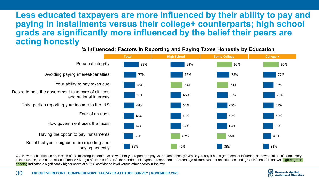### **Less educated taxpayers are more influenced by their ability to pay and paying in installments versus their college+ counterparts; high school grads are significantly more influenced by the belief their peers are acting honestly**

#### Personal integrity Avoiding paying interest/penalties Your ability to pay taxes due Desire to help the government take care of citizens and national interests Third parties reporting your income to the IRS Fear of an audit How government uses the taxes Having the option to pay installments Belief that your neighbors are reporting and paying honestly **Total College + College + College + College + College + College + College + College + College + College + College + College + College + College + College + College + College + College + College + College + College + Colle** 36% 55% 62% 63% 64% 68% 68% 77% 92% 40% 62% 64% 64% 65% 66% 73% 76% 88% 33% 56% 64% 60% 65% 66% 70% 78% 93% 32% 47% 58% 64% 63% 70% 63% 77% 96%

**% Influenced: Factors In Reporting and Paying Taxes Honestly by Education**

Q4: How much influence does each of the following factors have on whether you report and pay your taxes honestly? Would you say it has a great deal of influence, somewhat of an influence, very little influence, or is not at all an influence? Margin of error is +/- 2.1% for blended online/phone respondents. Percentage of 'somewhat of an influence' and 'great influence' is shown. Lighter green shading indicates a significantly higher score at a 95% confidence level versus other scores in the row.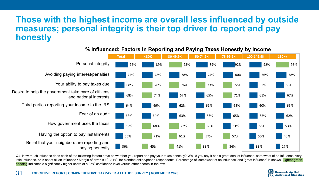### **Those with the highest income are overall less influenced by outside measures; personal integrity is their top driver to report and pay honestly**



#### **% Influenced: Factors In Reporting and Paying Taxes Honestly by Income**

Q4: How much influence does each of the following factors have on whether you report and pay your taxes honestly? Would you say it has a great deal of influence, somewhat of an influence, very little influence, or is not at all an influence? Margin of error is +/- 2.1% for blended online/phone respondents. Percentage of 'somewhat of an influence' and 'great influence' is shown. Lighter green shading indicates a significantly higher score at a 95% confidence level versus other scores in the row.



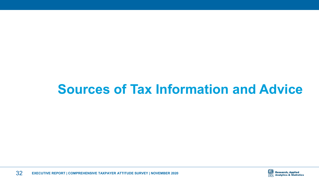## <span id="page-31-0"></span>**Sources of Tax Information and Advice**

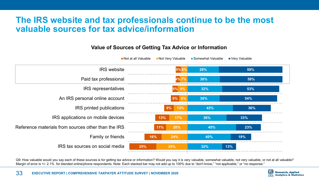### **The IRS website and tax professionals continue to be the most valuable sources for tax advice/information**

#### Not at all Valuable Not Very Valuable ■ Somewhat Valuable Very Valuable **IRS** website  59%  Paid tax professional  4% i **IRS** representatives  An IRS personal online account  8% | 8 **IRS** printed publications  **9%**  IRS applications on mobile devices  Reference materials from sources other than the IRS  **Family or friends 19%** IRS tax sources on social media

### **Value of Sources of Getting Tax Advice or Information**

Q9: How valuable would you say each of these sources is for getting tax advice or information? Would you say it is very valuable, somewhat valuable, not very valuable, or not at all valuable? Margin of error is +/- 2.1% for blended online/phone respondents. Note: Each stacked bar may not add up to 100% due to "don't know," "not applicable," or "no response."

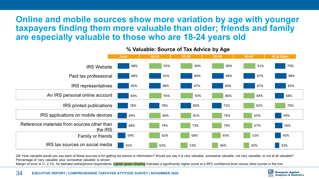### **Online and mobile sources show more variation by age with younger taxpayers finding them more valuable than older; friends and family are especially valuable to those who are 18-24 years old**



**% Valuable: Source of Tax Advice by Age** 

Q9: How valuable would you say each of these sources is for getting tax advice or information? Would you say it is very valuable, somewhat valuable, not very valuable, or not at all valuable? Percentage of 'very valuable' plus 'somewhat valuable' is shown.

Margin of error is +/- 2.1% for blended online/phone respondents. Lighter green shading indicates a significantly higher score at a 95% confidence level versus other scores in the row.

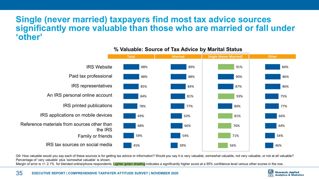### **Single (never married) taxpayers find most tax advice sources significantly more valuable than those who are married or fall under 'other'**



#### **% Valuable: Source of Tax Advice by Marital Status**

Q9: How valuable would you say each of these sources is for getting tax advice or information? Would you say it is very valuable, somewhat valuable, not very valuable, or not at all valuable? Percentage of 'very valuable' plus 'somewhat valuable' is shown.

Margin of error is +/- 2.1% for blended online/phone respondents. Lighter green shading indicates a significantly higher score at a 95% confidence level versus other scores in the row.

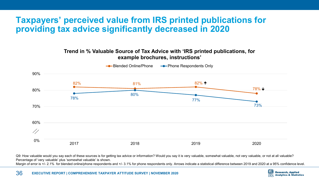### **Taxpayers' perceived value from IRS printed publications for providing tax advice significantly decreased in 2020**

#### **Trend in % Valuable Source of Tax Advice with 'IRS printed publications, for example brochures, instructions'**



Q9: How valuable would you say each of these sources is for getting tax advice or information? Would you say it is very valuable, somewhat valuable, not very valuable, or not at all valuable? Percentage of 'very valuable' plus 'somewhat valuable' is shown.

Margin of error is +/- 2.1% for blended online/phone respondents and +/- 3.1% for phone respondents only. Arrows indicate a statistical difference between 2019 and 2020 at a 95% confidence level.

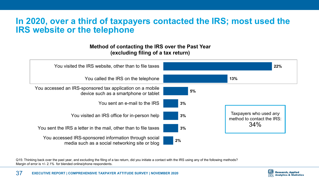### **In 2020, over a third of taxpayers contacted the IRS; most used the IRS website or the telephone**

#### **Method of contacting the IRS over the Past Year (excluding filing of a tax return)**



Q15: Thinking back over the past year, and excluding the filing of a tax return, did you initiate a contact with the IRS using any of the following methods? Margin of error is +/- 2.1% for blended online/phone respondents.

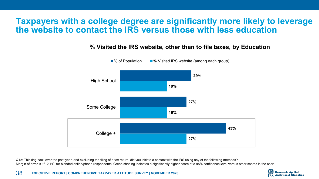### **Taxpayers with a college degree are significantly more likely to leverage the website to contact the IRS versus those with less education**

### **% Visited the IRS website, other than to file taxes, by Education**



Q15: Thinking back over the past year, and excluding the filing of a tax return, did you initiate a contact with the IRS using any of the following methods? Margin of error is +/- 2.1% for blended online/phone respondents. Green shading indicates a significantly higher score at a 95% confidence level versus other scores in the chart.

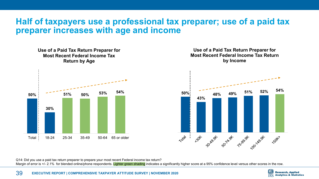### **Half of taxpayers use a professional tax preparer; use of a paid tax preparer increases with age and income**





Q14: Did you use a paid tax return preparer to prepare your most recent Federal income tax return? Margin of error is +/- 2.1% for blended online/phone respondents. Lighter green shading indicates a significantly higher score at a 95% confidence level versus other scores in the row.

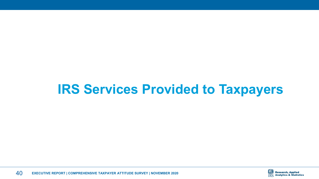## <span id="page-39-0"></span>**IRS Services Provided to Taxpayers**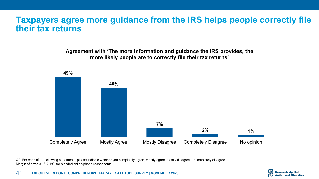### **Taxpayers agree more guidance from the IRS helps people correctly file their tax returns**

**Agreement with 'The more information and guidance the IRS provides, the more likely people are to correctly file their tax returns'**



Q2: For each of the following statements, please indicate whether you completely agree, mostly agree, mostly disagree, or completely disagree. Margin of error is  $+/- 2.1\%$  for blended online/phone respondents.

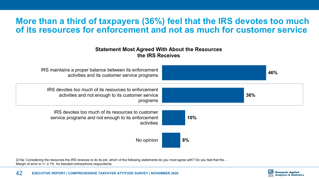### **More than a third of taxpayers (36%) feel that the IRS devotes too much of its resources for enforcement and not as much for customer service**

#### **Statement Most Agreed With About the Resources the IRS Receives**



Q10a: Considering the resources the IRS receives to do its job, which of the following statements do you most agree with? Do you feel that the... Margin of error is  $+/- 2.1\%$  for blended online/phone respondents.

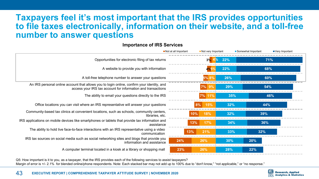### **Taxpayers feel it's most important that the IRS provides opportunities to file taxes electronically, information on their website, and a toll-free number to answer questions**

#### **Importance of IRS Services**

|                                                                                                                                                            | Not at all Important | Not very Important   |     |     |  | Very Important<br>■ Somewhat Important |  |
|------------------------------------------------------------------------------------------------------------------------------------------------------------|----------------------|----------------------|-----|-----|--|----------------------------------------|--|
| Opportunities for electronic filing of tax returns                                                                                                         |                      | 3%                   | 22% | 71% |  |                                        |  |
| A website to provide you with information                                                                                                                  |                      | 4%5                  | 22% | 68% |  |                                        |  |
| A toll-free telephone number to answer your questions                                                                                                      |                      | $5\%$ 8% $\parallel$ | 26% | 60% |  |                                        |  |
| An IRS personal online account that allows you to login online, confirm your identity, and<br>access your IRS tax account for information and transactions |                      | $ 7\% $ 9% $ $       | 29% | 54% |  |                                        |  |
| The ability to email your questions directly to the IRS                                                                                                    |                      | 7% 11%               | 35% | 46% |  |                                        |  |
| Office locations you can visit where an IRS representative will answer your questions                                                                      |                      | 8%<br>15%            | 32% | 44% |  |                                        |  |
| Community-based tax clinics at convenient locations, such as schools, community centers,<br>libraries, etc.                                                |                      | 18%<br>10%           | 32% | 39% |  |                                        |  |
| IRS applications on mobile devices like smartphones or tablets that provide tax information and<br>assistance                                              | 13%                  | 17%                  | 34% | 36% |  |                                        |  |
| The ability to hold live face-to-face interactions with an IRS representative using a video<br>communication                                               | 13%                  | 21%                  | 33% | 32% |  |                                        |  |
| IRS tax sources on social media such as social networking sites and blogs that provide you<br>information and assistance                                   | 24%                  | 26%                  | 30% | 20% |  |                                        |  |
| A computer terminal located in a kiosk at a library or shopping mall                                                                                       | 23%                  | 26%                  | 28% | 22% |  |                                        |  |

Q5: How important is it to you, as a taxpayer, that the IRS provides each of the following services to assist taxpayers? Margin of error is +/- 2.1% for blended online/phone respondents. Note: Each stacked bar may not add up to 100% due to "don't know," "not applicable," or "no response,"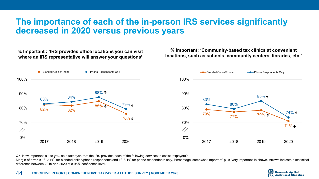### **The importance of each of the in-person IRS services significantly decreased in 2020 versus previous years**

**% Important : 'IRS provides office locations you can visit where an IRS representative will answer your questions'**

**% Important: 'Community-based tax clinics at convenient locations, such as schools, community centers, libraries, etc.'**



Q5: How important is it to you, as a taxpayer, that the IRS provides each of the following services to assist taxpayers?

Margin of error is +/- 2.1% for blended online/phone respondents and +/- 3.1% for phone respondents only, Percentage 'somewhat important' plus 'very important' is shown. Arrows indicate a statistical difference between 2019 and 2020 at a 95% confidence level.